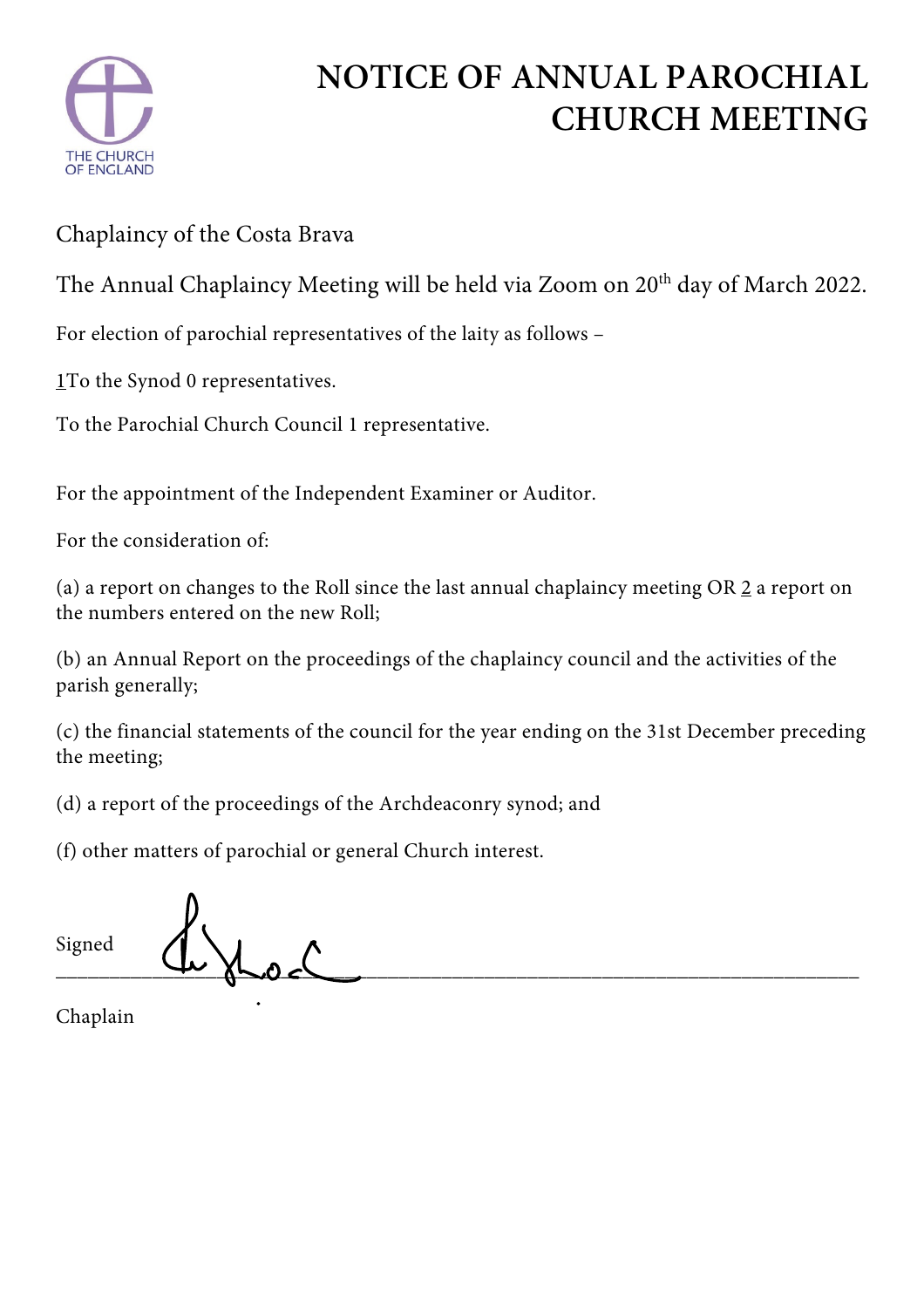

## **NOTICE OF ANNUAL PAROCHIAL CHURCH MEETING**

Chaplaincy of the Costa Brava

The Annual Chaplaincy Meeting will be held via Zoom on 20<sup>th</sup> day of March 2022.

For election of parochial representatives of the laity as follows –

1To the Synod 0 representatives.

To the Parochial Church Council 1 representative.

For the appointment of the Independent Examiner or Auditor.

For the consideration of:

(a) a report on changes to the Roll since the last annual chaplaincy meeting OR 2 a report on the numbers entered on the new Roll;

(b) an Annual Report on the proceedings of the chaplaincy council and the activities of the parish generally;

(c) the financial statements of the council for the year ending on the 31st December preceding the meeting;

(d) a report of the proceedings of the Archdeaconry synod; and

(f) other matters of parochial or general Church interest.

| Signed | ىك |  |
|--------|----|--|
|        |    |  |

Chaplain